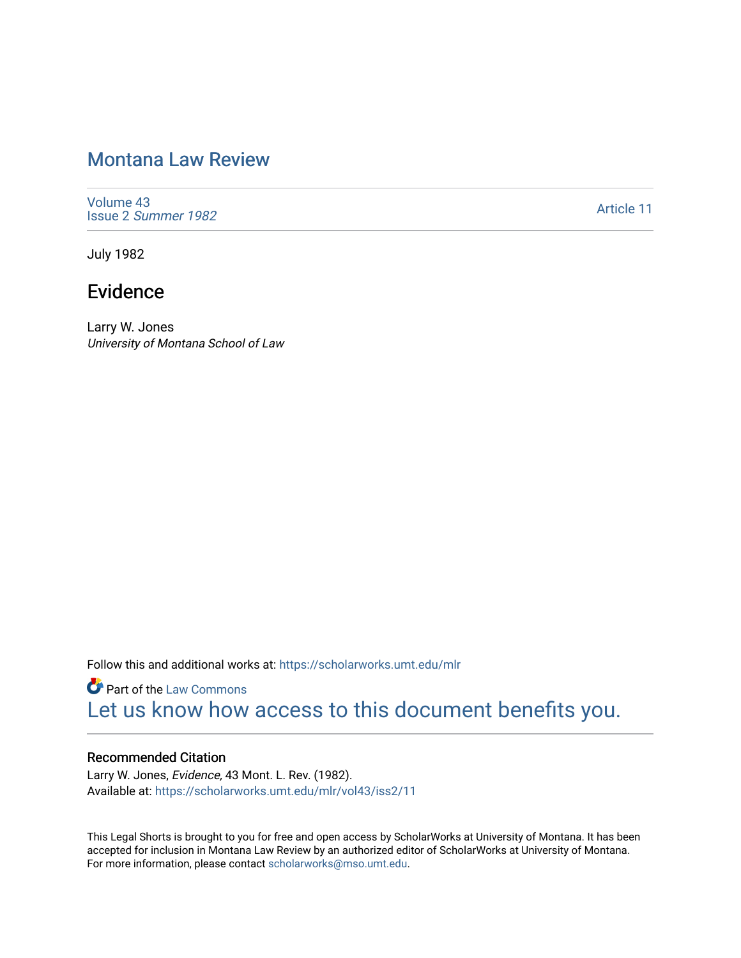# [Montana Law Review](https://scholarworks.umt.edu/mlr)

[Volume 43](https://scholarworks.umt.edu/mlr/vol43) Issue 2 [Summer 1982](https://scholarworks.umt.edu/mlr/vol43/iss2) 

[Article 11](https://scholarworks.umt.edu/mlr/vol43/iss2/11) 

July 1982

# Evidence

Larry W. Jones University of Montana School of Law

Follow this and additional works at: [https://scholarworks.umt.edu/mlr](https://scholarworks.umt.edu/mlr?utm_source=scholarworks.umt.edu%2Fmlr%2Fvol43%2Fiss2%2F11&utm_medium=PDF&utm_campaign=PDFCoverPages) 

**Part of the [Law Commons](http://network.bepress.com/hgg/discipline/578?utm_source=scholarworks.umt.edu%2Fmlr%2Fvol43%2Fiss2%2F11&utm_medium=PDF&utm_campaign=PDFCoverPages)** [Let us know how access to this document benefits you.](https://goo.gl/forms/s2rGfXOLzz71qgsB2) 

#### Recommended Citation

Larry W. Jones, Evidence, 43 Mont. L. Rev. (1982). Available at: [https://scholarworks.umt.edu/mlr/vol43/iss2/11](https://scholarworks.umt.edu/mlr/vol43/iss2/11?utm_source=scholarworks.umt.edu%2Fmlr%2Fvol43%2Fiss2%2F11&utm_medium=PDF&utm_campaign=PDFCoverPages)

This Legal Shorts is brought to you for free and open access by ScholarWorks at University of Montana. It has been accepted for inclusion in Montana Law Review by an authorized editor of ScholarWorks at University of Montana. For more information, please contact [scholarworks@mso.umt.edu.](mailto:scholarworks@mso.umt.edu)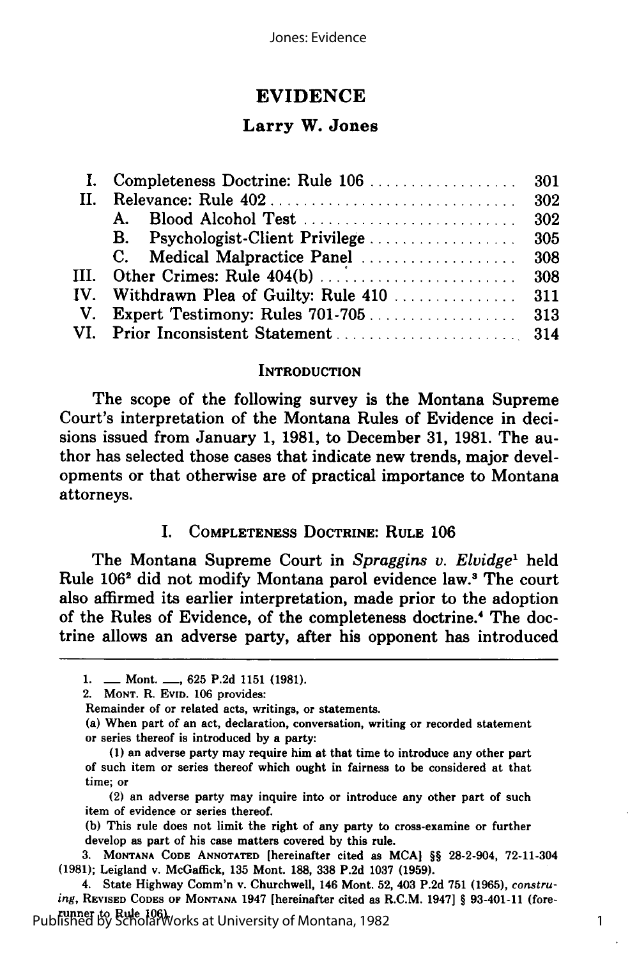## **EVIDENCE**

#### Larry W. Jones

#### **INTRODUCTION**

The scope of the following survey is the Montana Supreme Court's interpretation of the Montana Rules of Evidence in decisions issued from January **1, 1981,** to December **31, 1981.** The author has selected those cases that indicate new trends, major developments or that otherwise are of practical importance to Montana attorneys.

#### I. **COMPLETENESS DOCTRINE: RULE 106**

The Montana Supreme Court in *Spraggins v. Elvidge*<sup>1</sup> held Rule **1062** did not modify Montana parol evidence law.3 The court also affirmed its earlier interpretation, made prior to the adoption of the Rules of Evidence, of the completeness doctrine.4 The doctrine allows an adverse party, after his opponent has introduced

**(1)** an adverse party may require him at that time to introduce any other part of such item or series thereof which ought in fairness to be considered at that time; or

**<sup>1.</sup> -** Mont. **-, 625 P.2d 1151 (1981).**

<sup>2.</sup> **MONT.** R. **EVID. 106** provides:

Remainder of or related acts, writings, or statements.

<sup>(</sup>a) When part of an act, declaration, conversation, writing or recorded statement or series thereof is introduced **by** a party:

<sup>(2)</sup> an adverse party may inquire into or introduce any other part of such item of evidence or series thereof.

**<sup>(</sup>b)** This rule does not limit the right of any party to cross-examine or further develop as part of his case matters covered **by** this rule.

**<sup>3.</sup> MONTANA CODE ANNOTATED** [hereinafter cited as **MCA] §§** 28-2-904, 72-11-304 **(1981);** Leigland v. McGaffick, **135** Mont. **188, 338 P.2d 1037 (1959).**

<sup>4.</sup> State Highway Comm'n v. Churchwell, 146 Mont. **52,** 403 **P.2d 751 (1965),** *construing,* **REVISED CODES OF MONTANA** 1947 [hereinafter cited as R.C.M. 1947] **§** 93-401-11 (forerunner to Rule **106).** <sup>1</sup> Published by ScholarWorks at University of Montana, 1982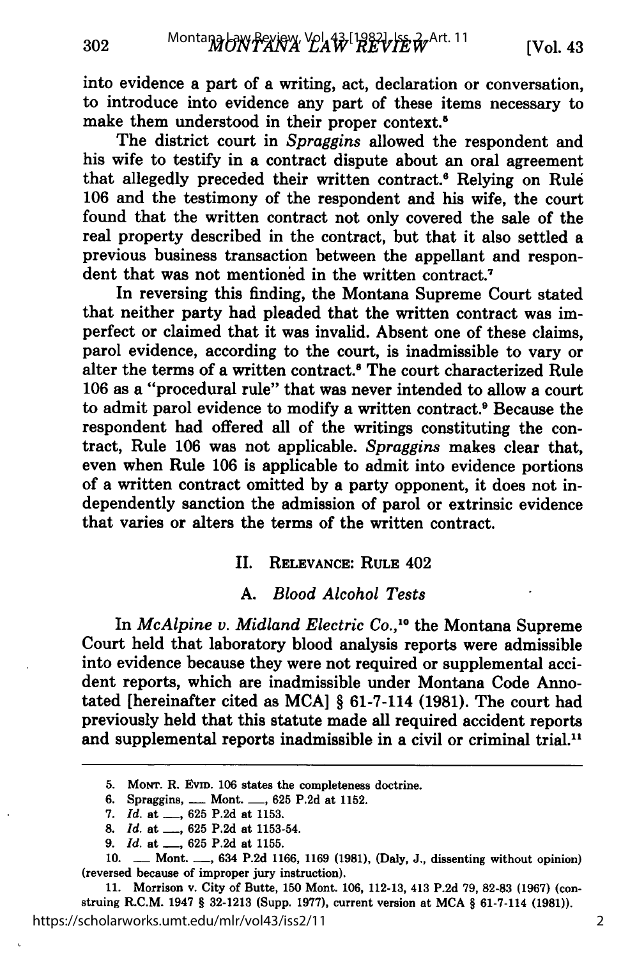into evidence a part of a writing, act, declaration or conversation, to introduce into evidence any part of these items necessary to make them understood in their proper context.<sup>5</sup>

The district court in *Spraggins* allowed the respondent and his wife to testify in a contract dispute about an oral agreement that allegedly preceded their written contract.<sup>6</sup> Relying on Rule **106** and the testimony of the respondent and his wife, the court found that the written contract not only covered the sale of the real property described in the contract, but that it also settled a previous business transaction between the appellant and respondent that was not mentioned in the written contract.<sup>7</sup>

In reversing this finding, the Montana Supreme Court stated that neither party had pleaded that the written contract was imperfect or claimed that it was invalid. Absent one of these claims, parol evidence, according to the court, is inadmissible to vary or alter the terms of a written contract.<sup>8</sup> The court characterized Rule **106** as a "procedural rule" that was never intended to allow a court to admit parol evidence to modify a written contract.<sup>8</sup> Because the respondent had offered all of the writings constituting the contract, Rule **106** was not applicable. *Spraggins* makes clear that, even when Rule **106** is applicable to admit into evidence portions of a written contract omitted **by** a party opponent, it does not independently sanction the admission of parol or extrinsic evidence that varies or alters the terms of the written contract.

#### II. **RELEVANCE: RULE** 402

## **A.** *Blood Alcohol Tests*

In *McAlpine v. Midland Electric Co.,10* the Montana Supreme Court held that laboratory blood analysis reports were admissible into evidence because they were not required or supplemental accident reports, which are inadmissible under Montana Code Annotated [hereinafter cited as **MCA]** § 61-7-114 **(1981).** The court had previously held that this statute made all required accident reports and supplemental reports inadmissible in a civil or criminal trial.<sup>11</sup>

**11.** Morrison v. City of Butte, **150** Mont. **106, 112-13,** 413 **P.2d 79, 82-83 (1967)** (construing R.C.M. 1947 § **32-1213** (Supp. **1977),** current version at **MCA** § 61-7-114 **(1981)).** https://scholarworks.umt.edu/mlr/vol43/iss2/11

**<sup>5.</sup> MONT.** R. **EVID. 106** states the completeness doctrine.

**<sup>6.</sup>** Spraggins, **-** Mont. **-, 625 P.2d** at **1152.**

*<sup>7.</sup> Id.* at **-, 625 P.2d** at **1153.**

**<sup>8.</sup>** *Id.* at **-, 625 P.2d** at **1153-54.**

*<sup>9.</sup> Id.* at **-, 625 P.2d** at **1155.**

**<sup>10. -</sup>** Mont. **-,** 634 **P.2d 1166, 1169 (1981),** (Daly, **J.,** dissenting without opinion) (reversed because of improper jury instruction).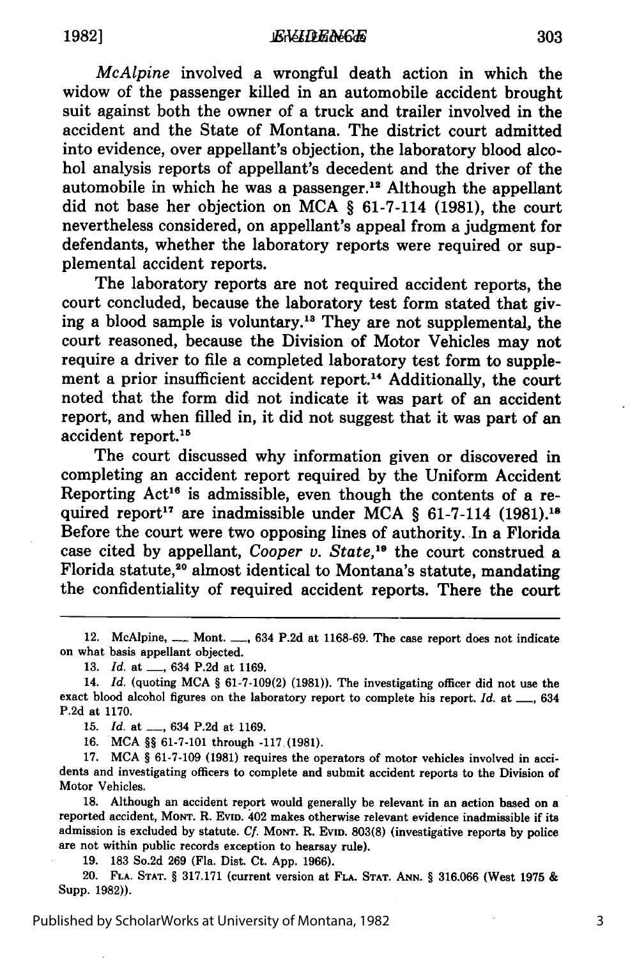*McAlpine* involved a wrongful death action in which the widow of the passenger killed in an automobile accident brought suit against both the owner of a truck and trailer involved in the accident and the State of Montana. The district court admitted into evidence, over appellant's objection, the laboratory blood alcohol analysis reports of appellant's decedent and the driver of the automobile in which he was a passenger.<sup>12</sup> Although the appellant did not base her objection on MCA § 61-7-114 (1981), the court nevertheless considered, on appellant's appeal from a judgment for defendants, whether the laboratory reports were required or supplemental accident reports.

The laboratory reports are not required accident reports, the court concluded, because the laboratory test form stated that giving a blood sample is voluntary.<sup>13</sup> They are not supplemental, the court reasoned, because the Division of Motor Vehicles may not require a driver to file a completed laboratory test form to supplement a prior insufficient accident report.<sup>14</sup> Additionally, the court noted that the form did not indicate it was part of an accident report, and when filled in, it did not suggest that it was part of an accident report.15

The court discussed why information given or discovered in completing an accident report required by the Uniform Accident Reporting  $Act^{16}$  is admissible, even though the contents of a required report 17 are inadmissible under MCA § 61-7-114 **(1981). <sup>1</sup> '** Before the court were two opposing lines of authority. In a Florida case cited by appellant, *Cooper v. State*,<sup>19</sup> the court construed a Florida statute,<sup>20</sup> almost identical to Montana's statute, mandating the confidentiality of required accident reports. There the court

12. McAlpine, <sub>---</sub> Mont. <sub>---</sub>, 634 P.2d at 1168-69. The case report does not indicate on what basis appellant objected.

**13.** *Id.* at **-,** 634 **P.2d** at **1169.**

14. *Id.* (quoting **MCA** *§* **61-7-109(2) (1981)).** The investigating officer did not use the exact blood alcohol figures on the laboratory report to complete his report. *Id.* at  $\_\_\_634$ **P.2d** at **1170.**

**15.** *Id.* at **-,** 634 **P.2d** at **1169.**

**16. MCA** *§§* **61-7-101** through **-117(1981).**

**17. MCA** *§* **61-7-109 (1981)** requires the operators of motor vehicles involved in accidents and investigating officers to complete and submit accident reports to the Division of Motor Vehicles.

**18.** Although an accident report would generally **be** relevant in an action based on a reported accident, **MONT. R. EVID.** 402 makes otherwise relevant evidence inadmissible if its admission is excluded **by** statute. *Cf.* **MONT.** R. **EVID. 803(8)** (investigative reports **by** police are not within public records exception to hearsay rule).

**19. 183** So.2d **269** (Fla. Dist. Ct. **App. 1966).**

20. **FLA. STAT.** *§* **317.171** (current version at **FLA. STAT. ANN.** *§* **316.066** (West **1975** & Supp. **1982)).**

Published by ScholarWorks at University of Montana, 1982

3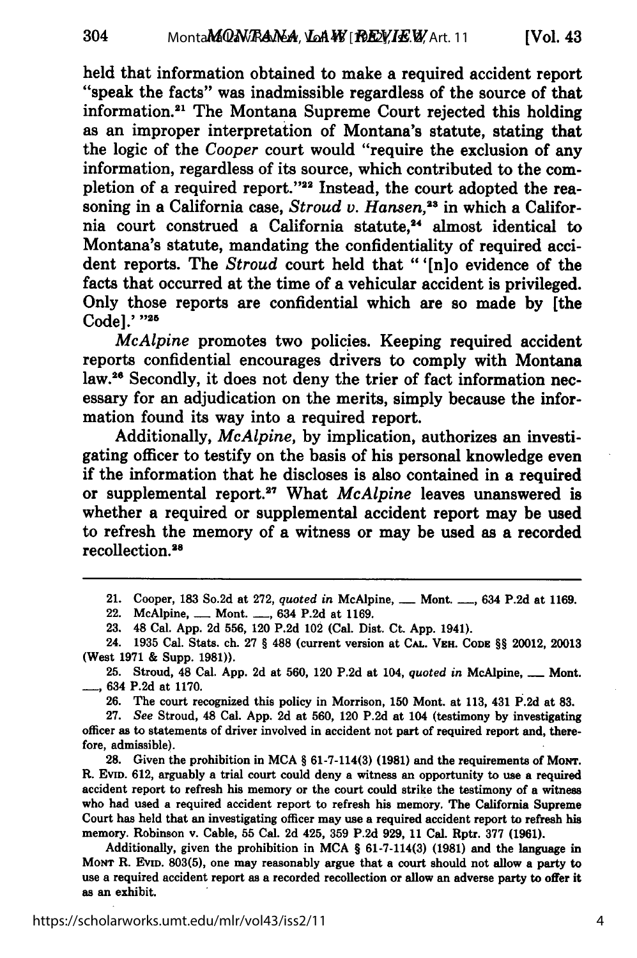held that information obtained to make a required accident report "speak the facts" was inadmissible regardless of the source of that information.<sup>21</sup> The Montana Supreme Court rejected this holding as an improper interpretation of Montana's statute, stating that the logic of the *Cooper* court would "require the exclusion of any information, regardless of its source, which contributed to the completion of a required report."<sup>22</sup> Instead, the court adopted the reasoning in a California case, *Stroud v. Hansen*,<sup>23</sup> in which a California court construed a California statute.<sup>24</sup> almost identical to Montana's statute, mandating the confidentiality of required accident reports. The *Stroud* court held that "'[n]o evidence of the facts that occurred at the time of a vehicular accident is privileged. Only those reports are confidential which are so made **by** [the Code].' **"25**

*McAlpine* promotes two policies. Keeping required accident reports confidential encourages drivers to comply with Montana law.26 Secondly, it does not deny the trier of fact information necessary for an adjudication on the merits, simply because the information found its way into a required report.

Additionally, *McAlpine,* **by** implication, authorizes an investigating officer to testify on the basis of his personal knowledge even if the information that he discloses is also contained in a required or supplemental report.<sup>27</sup> What *McAlpine* leaves unanswered is whether a required or supplemental accident report may be used to refresh the memory of a witness or may be used as a recorded recollection.28

**25.** Stroud, 48 Cal. **App. 2d** at **560,** 120 **P.2d** at 104, *quoted in* McAlpine, **-** Mont. **-,** 634 **P.2d** at **1170.**

**26.** The court recognized this policy in Morrison, **150** Mont. at **113,** 431 **P.2d** at **83.**

**27.** *See* Stroud, 48 Cal. **App. 2d** at **560,** 120 **P.2d** at 104 (testimony **by** investigating officer as to statements of driver involved in accident not part of required report and, therefore, admissible).

**28.** Given the prohibition in **MCA § 61-7-114(3) (1981)** and the requirements of MONT. R. EVID. **612,** arguably a trial court could deny a witness an opportunity to use a required accident report to refresh his memory or the court could strike the testimony of a witness who had used a required accident report to refresh his memory. The California Supreme Court has held that an investigating officer may use a required accident report to refresh his memory. Robinson v. Cable, **55** Cal. **2d** 425, **359 P.2d 929, 11** Cal. Rptr. **377 (1961).**

Additionally, given the prohibition in **MCA § 61-7-114(3) (1981)** and the language in Monr R. Evin. 803(5), one may reasonably argue that a court should not allow a party to use a required accident report as a recorded recollection or allow an adverse party to offer it as an exhibit.

<sup>21.</sup> Cooper, **183** So.2d at **272,** *quoted in* McAlpine, **-** Mont. **-,** 634 **P.2d** at **1169.**

<sup>22.</sup> McAlpine, **-** Mont. **-,** 634 **P.2d** at **1169.**

**<sup>23.</sup>** 48 Cal. **App. 2d 556,** 120 **P.2d** 102 (Cal. Dist. Ct. **App.** 1941).

<sup>24.</sup> **1935** Cal. Stats. ch. **27 § 488** (current version at **CAL. VEH. CODE §§** 20012, **20013** (West **1971 &** Supp. **1981)).**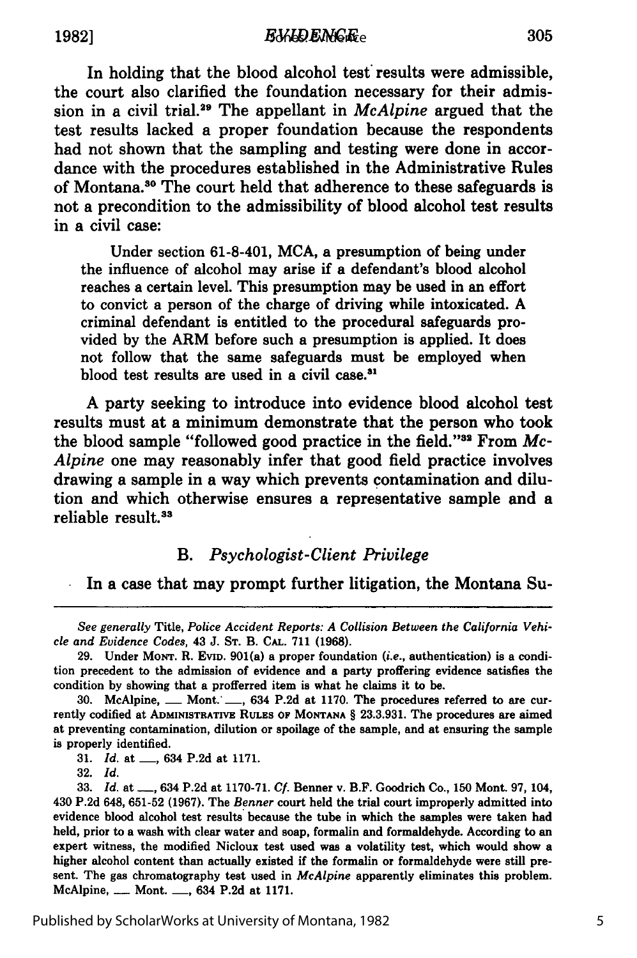In holding that the blood alcohol test results were admissible, the court also clarified the foundation necessary for their admission in a civil trial. 9 The appellant in *McAlpine* argued that the test results lacked a proper foundation because the respondents had not shown that the sampling and testing were done in accordance with the procedures established in the Administrative Rules of Montana.<sup>30</sup> The court held that adherence to these safeguards is not a precondition to the admissibility of blood alcohol test results in a civil case:

Under section 61-8-401, **MCA,** a presumption of being under the influence of alcohol may arise if a defendant's blood alcohol reaches a certain level. This presumption may be used in an effort to convict a person of the charge of driving while intoxicated. **A** criminal defendant is entitled to the procedural safeguards provided **by** the ARM before such a presumption is applied. It does not follow that the same safeguards must be employed when blood test results are used in a civil case.<sup>31</sup>

**A** party seeking to introduce into evidence blood alcohol test results must at a minimum demonstrate that the person who took the blood sample "followed good practice in the field."<sup>32</sup> From Mc-*Alpine* one may reasonably infer that good field practice involves drawing a sample in a way which prevents contamination and dilution and which otherwise ensures a representative sample and a reliable result.<sup>33</sup>

### *B. Psychologist-Client Privilege*

In a case that may prompt further litigation, the Montana Su-

**31.** *Id.* at **-,** 634 **P.2d** at **1171.**

**32.** *Id.*

*See generally* Title, *Police Accident Reports: A Collision Between the California Vehicle and Evidence Codes,* 43 **J. ST.** B. **CAL. 711 (1968).**

**<sup>29.</sup>** Under **MONT.** R. **EVID.** 901(a) a proper foundation *(i.e.,* authentication) is a condition precedent to the admission of evidence and a party proffering evidence satisfies the condition **by** showing that a profferred item is what he claims it to be.

<sup>30.</sup> McAlpine, <u>---</u> Mont. <sub>---</sub>, 634 P.2d at 1170. The procedures referred to are currently codified at **ADMINISTRATIVE RULES OF MONTANA** § **23.3.931.** The procedures are aimed at preventing contamination, dilution or spoilage of the sample, and at ensuring the sample is properly identified.

**<sup>33.</sup>** *Id.* at-, 634 **P.2d** at **1170-71.** *Cf.* Banner v. B.F. Goodrich Co., **150** Mont. 97, 104, 430 **P.2d** 648, **651-52 (1967).** The *Benner* court held the trial court improperly admitted into evidence blood alcohol test results because the tube in which the samples were taken had held, prior to a wash with clear water and soap, formalin and formaldehyde. According to an expert witness, the modified Nicloux test used was a volatility test, which would show a higher alcohol content than actually existed if the formalin or formaldehyde were still present. The gas chromatography test used in *McAlpine* apparently eliminates this problem. McAlpine, **-** Mont. **-,** 634 **P.2d** at **1171.**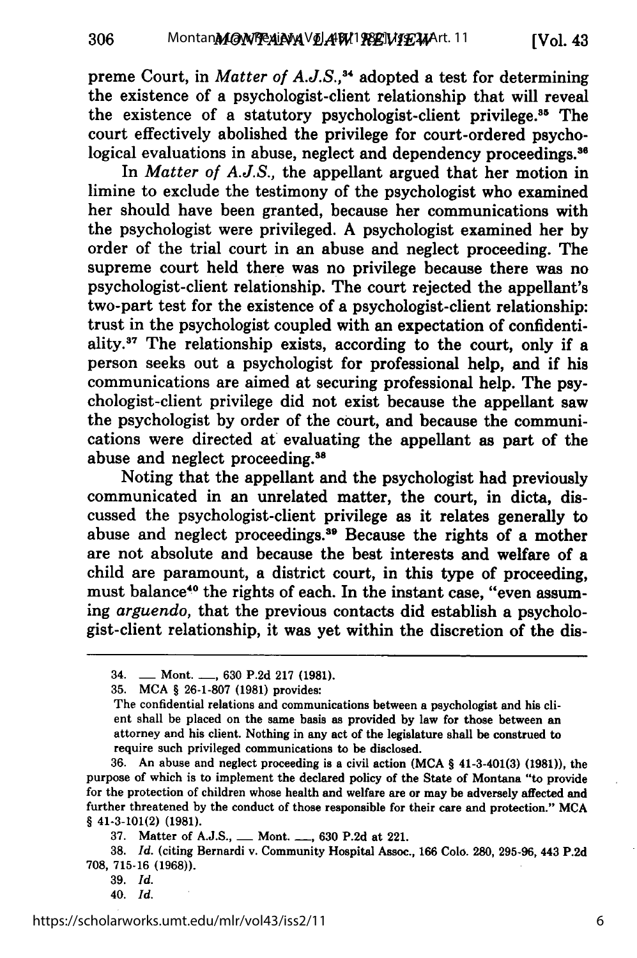preme Court, in *Matter of A.J.S.*,<sup>34</sup> adopted a test for determining the existence of a psychologist-client relationship that will reveal the existence of a statutory psychologist-client privilege.<sup>35</sup> The court effectively abolished the privilege for court-ordered psychological evaluations in abuse, neglect and dependency proceedings.<sup>36</sup>

In *Matter of A.J.S.,* the appellant argued that her motion in limine to exclude the testimony of the psychologist who examined her should have been granted, because her communications with the psychologist were privileged. A psychologist examined her by order of the trial court in an abuse and neglect proceeding. The supreme court held there was no privilege because there was no psychologist-client relationship. The court rejected the appellant's two-part test for the existence of a psychologist-client relationship: trust in the psychologist coupled with an expectation of confidentiality. $37$  The relationship exists, according to the court, only if a person seeks out a psychologist for professional help, and if his communications are aimed at securing professional help. The psychologist-client privilege did not exist because the appellant saw the psychologist by order of the court, and because the communications were directed at evaluating the appellant as part of the abuse and neglect proceeding. <sup>88</sup>

Noting that the appellant and the psychologist had previously communicated in an unrelated matter, the court, in dicta, discussed the psychologist-client privilege as it relates generally to abuse and neglect proceedings.<sup>39</sup> Because the rights of a mother are not absolute and because the best interests and welfare of a child are paramount, a district court, in this type of proceeding, must balance<sup>40</sup> the rights of each. In the instant case, "even assuming *arguendo,* that the previous contacts did establish a psychologist-client relationship, it was yet within the discretion of the dis-

306

<sup>34.</sup> **-** Mont. **-,** 630 P.2d 217 **(1981).**

<sup>35.</sup> MCA § 26-1-807 (1981) provides:

The confidential relations and communications between a psychologist and his client shall be placed on the same basis as provided by law for those between an attorney and his client. Nothing in any act of the legislature shall be construed to require such privileged communications to be disclosed.

<sup>36.</sup> An abuse and neglect proceeding is a civil action **(MCA** § 41-3-401(3) **(1981)),** the purpose of which is to implement the declared policy of the State of Montana "to provide for the protection of children whose health and welfare are or may be adversely affected and further threatened by the conduct of those responsible for their care and protection." **MCA** § 41-3-101(2) **(1981).**

<sup>37.</sup> Matter of A.J.S., **-** Mont. **-,** 630 P.2d at 221.

<sup>38.</sup> *Id.* (citing Bernardi v. Community Hospital Assoc., 166 Colo. 280, 295-96, 443 P.2d 708, 715-16 **(1968)).**

<sup>39.</sup> *Id.*

<sup>40.</sup> *Id.*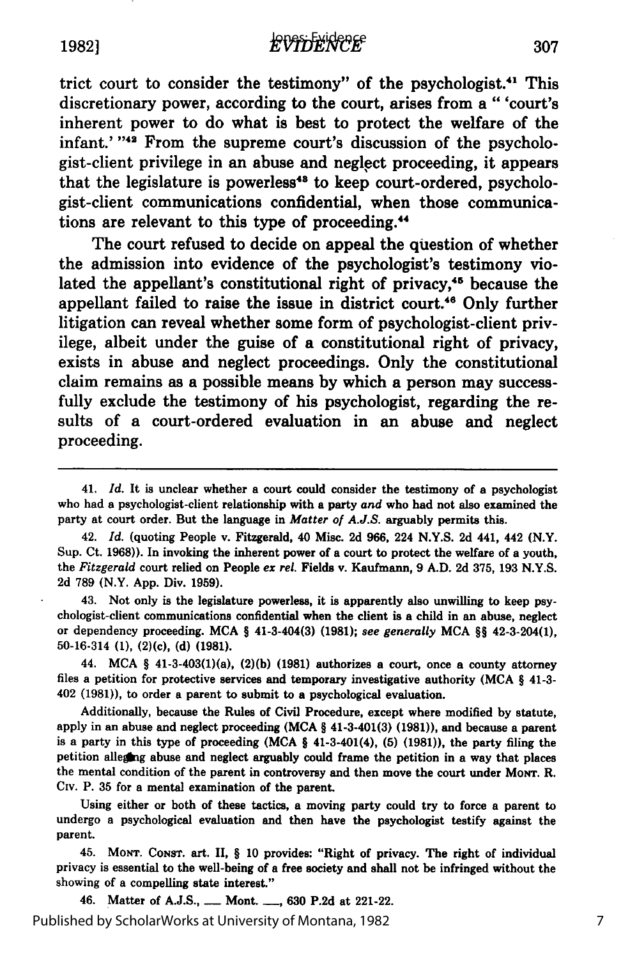trict court to consider the testimony" of the psychologist.<sup>41</sup> This discretionary power, according to the court, arises from a "'court's inherent power to do what is best to protect the welfare of the infant.' "<sup>42</sup> From the supreme court's discussion of the psychologist-client privilege in an abuse and neglect proceeding, it appears that the legislature is powerless<sup>43</sup> to keep court-ordered, psychologist-client communications confidential, when those communications are relevant to this type of proceeding.<sup>44</sup>

The court refused to decide on appeal the question of whether the admission into evidence of the psychologist's testimony violated the appellant's constitutional right of privacy,<sup>45</sup> because the appellant failed to raise the issue in district court.<sup>46</sup> Only further litigation can reveal whether some form of psychologist-client privilege, albeit under the guise of a constitutional right of privacy, exists in abuse and neglect proceedings. Only the constitutional claim remains as a possible means **by** which a person may successfully exclude the testimony of his psychologist, regarding the results of a court-ordered evaluation in an abuse and neglect proceeding.

42. *Id.* (quoting People v. Fitzgerald, 40 Misc. **2d 966,** 224 **N.Y.S. 2d** 441, 442 (N.Y. Sup. Ct. **1968)).** In invoking the inherent power of a court to protect the welfare of a youth, the *Fitzgerald* court relied on People *ex rel.* Fields v. Kaufmann, **9 A.D. 2d 375, 193 N.Y.S. 2d 789** (N.Y. **App.** Div. **1959).**

43. Not only is the legislature powerless, it is apparently also unwilling to keep psychologist-client communications confidential when the client is a child in an abuse, neglect or dependency proceeding. **MCA** *§* 41-3-404(3) **(1981);** *see generally* **MCA** *§§* 42-3-204(1), **50-16-314 (1),** (2)(c), **(d) (1981).**

44. **MCA** *§* 41-3-403(1)(a), **(2)(b) (1981)** authorizes a court, once a county attorney files a petition for protective services and temporary investigative authority **(MCA** *§* 41-3- 402 **(1981)),** to order a parent to submit to a psychological evaluation.

Additionally, because the Rules of Civil Procedure, except where modified **by** statute, apply in an abuse and neglect proceeding **(MCA** *§* 41-3-401(3) **(1981)),** and because a parent is a party in this type of proceeding **(MCA §** 41-3-401(4), **(5) (1981)),** the party filing the petition alleging abuse and neglect arguably could frame the petition in a way that places the mental condition of the parent in controversy and then move the court under Mown. R. Civ. P. 35 for a mental examination of the parent.

Using either or both of these tactics, a moving party could try to force a parent to undergo a psychological evaluation and then have the psychologist testify against the parent.

45. **MONT. CONST.** art. II, *§* **10** provides: "Right of privacy. The right of individual privacy is essential to the well-being of a free society and shall not be infringed without the showing of a compelling state interest."

46. Matter of **A.J.S., -** Mont. **-, 630 P.2d** at 221-22. Published by ScholarWorks at University of Montana, 1982

<sup>41.</sup> *Id.* It is unclear whether a court could consider the testimony of a psychologist who had a psychologist-client relationship with a party *and* who had not also examined the party at court order. But the language in *Matter of A.J.S.* arguably permits this.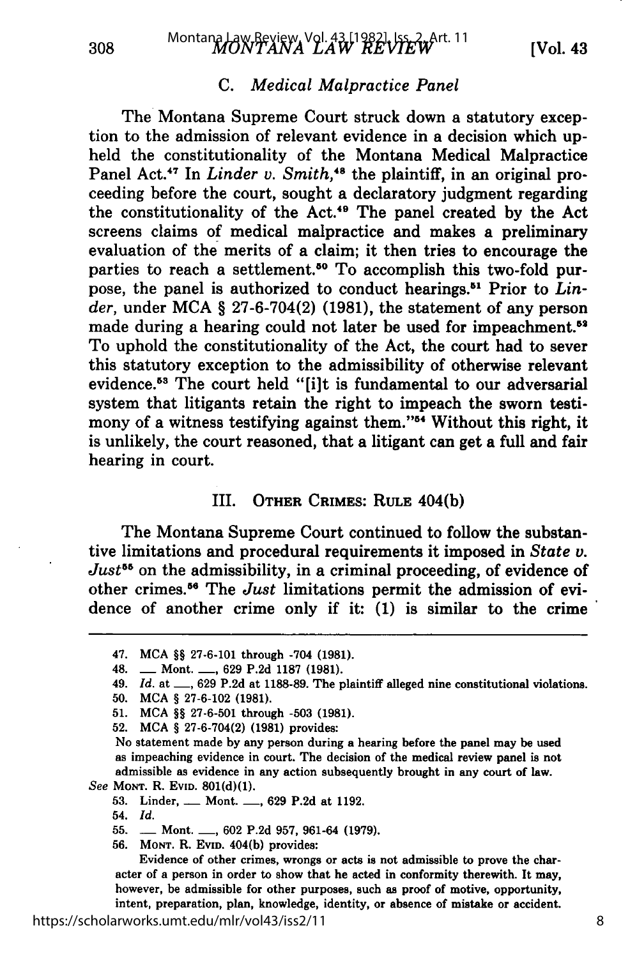## *C. Medical Malpractice Panel*

The Montana Supreme Court struck down a statutory exception to the admission of relevant evidence in a decision which upheld the constitutionality of the Montana Medical Malpractice Panel Act.<sup>47</sup> In *Linder v. Smith*,<sup>48</sup> the plaintiff, in an original proceeding before the court, sought a declaratory judgment regarding the constitutionality of the Act.49 The panel created by the Act screens claims of medical malpractice and makes a preliminary evaluation of the merits of a claim; it then tries to encourage the parties to reach a settlement.<sup>50</sup> To accomplish this two-fold purpose, the panel is authorized to conduct hearings.51 Prior to *Linder,* under MCA § 27-6-704(2) (1981), the statement of any person made during a hearing could not later be used for impeachment.<sup>52</sup> To uphold the constitutionality of the Act, the court had to sever this statutory exception to the admissibility of otherwise relevant evidence.<sup>53</sup> The court held "[i]t is fundamental to our adversarial system that litigants retain the right to impeach the sworn testimony of a witness testifying against them."<sup>54</sup> Without this right, it is unlikely, the court reasoned, that a litigant can get a full and fair hearing in court.

#### III. OTHER CRIMES: RULE 404(b)

The Montana Supreme Court continued to follow the substantive limitations and procedural requirements it imposed in *State v. Just*<sup>55</sup> on the admissibility, in a criminal proceeding, of evidence of other crimes.56 The *Just* limitations permit the admission of evidence of another crime only if it: (1) is similar to the crime

No statement made by any person during a hearing before the panel may be used as impeaching evidence in court. The decision of the medical review panel is not admissible as evidence in any action subsequently brought in any court of law. *See* **MONT.** R. EvID. **801(d)(1).**

308

**56. MONT.** R. **EvID.** 404(b) provides:

Evidence of other crimes, wrongs or acts is not admissible to prove the character of a person in order to show that he acted in conformity therewith. It may, however, be admissible for other purposes, such as proof of motive, opportunity, intent, preparation, plan, knowledge, identity, or absence of mistake or accident.

<sup>47.</sup> MCA §§ 27-6-101 through -704 (1981).

<sup>48.</sup> **-** Mont. **-,** 629 P.2d 1187 (1981).

<sup>49.</sup> *Id.* at <sub>-</sub>, 629 P.2d at 1188-89. The plaintiff alleged nine constitutional violations.

<sup>50.</sup> MCA § 27-6-102 (1981).

<sup>51.</sup> **MCA** *§§* 27-6-501 through -503 **(1981).**

<sup>52.</sup> **MCA** *§* 27-6-704(2) **(1981)** provides:

**<sup>53.</sup>** Linder, \_\_ Mont. **-, 629 P.2d** at **1192.**

<sup>54.</sup> *Id.*

<sup>55.</sup> **-** Mont. **-,** 602 P.2d 957, 961-64 (1979).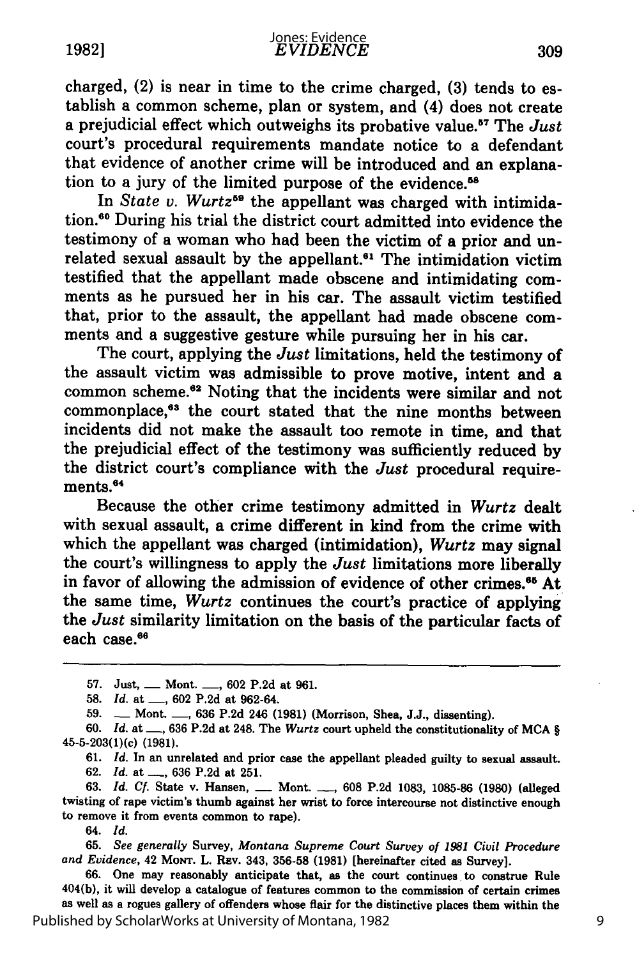charged, (2) is near in time to the crime charged, **(3)** tends to establish a common scheme, plan or system, and (4) does not create a prejudicial effect which outweighs its probative value.<sup>87</sup> The *Just* court's procedural requirements mandate notice to a defendant that evidence of another crime will be introduced and an explanation to a jury of the limited purpose of the evidence.<sup>58</sup>

In *State v. Wurtz*<sup>59</sup> the appellant was charged with intimidation.<sup>60</sup> During his trial the district court admitted into evidence the testimony of a woman who had been the victim of a prior and unrelated sexual assault by the appellant.<sup>61</sup> The intimidation victim testified that the appellant made obscene and intimidating comments as he pursued her in his car. The assault victim testified that, prior to the assault, the appellant had made obscene comments and a suggestive gesture while pursuing her in his car.

The court, applying the *Just* limitations, held the testimony of the assault victim was admissible to prove motive, intent and a common scheme.<sup>62</sup> Noting that the incidents were similar and not commonplace,<sup>63</sup> the court stated that the nine months between incidents did not make the assault too remote in time, and that the prejudicial effect of the testimony was sufficiently reduced by the district court's compliance with the *Just* procedural requirements.<sup>64</sup>

Because the other crime testimony admitted in *Wurtz* dealt with sexual assault, a crime different in kind from the crime with which the appellant was charged (intimidation), *Wurtz* may signal the court's willingness to apply the *Just* limitations more liberally in favor of allowing the admission of evidence of other crimes.<sup>65</sup> At the same time, *Wurtz* continues the court's practice of applying the *Just* similarity limitation on the basis of the particular facts of each case.<sup>66</sup>

61. *Id.* In an unrelated and prior case the appellant pleaded guilty to sexual assault. 62. *Id.* **at \_\_,** 636 P.2d at 251.

63. *Id.* **Cf.** State v. Hansen, **-** Mont. *-.,* 608 P.2d 1083, 1085-86 (1980) (alleged twisting of rape victim's thumb against her wrist to force intercourse not distinctive enough to remove it from events common to rape).

64. *Id.*

65. *See generally* Survey, *Montana Supreme Court Survey of 1981 Civil Procedure and Evidence,* 42 MoNT. L. **REv.** 343, 356-58 (1981) [hereinafter cited as Survey].

66. One may reasonably anticipate that, as the court continues to construe Rule 404(b), it will develop a catalogue of features common to the commission of certain crimes as well as a rogues gallery of offenders whose flair for the distinctive places them within the Published by ScholarWorks at University of Montana, 1982

**<sup>57.</sup>** Just, **-** Mont. **-, 602 P.2d** at **961.**

**<sup>58.</sup>** *Id.* at **-, 602 P.2d** at 962-64.

**<sup>59.</sup> -** Mont. **-, 636 P.2d** 246 **(1981)** (Morrison, Shea, **J.J.,** dissenting).

**<sup>60.</sup>** *Id.* at **-\_, 636 P.2d** at 248. The *Wurtz* court upheld the constitutionality of **MCA** § <sup>4</sup> 5-5-203(1)(c) (1981).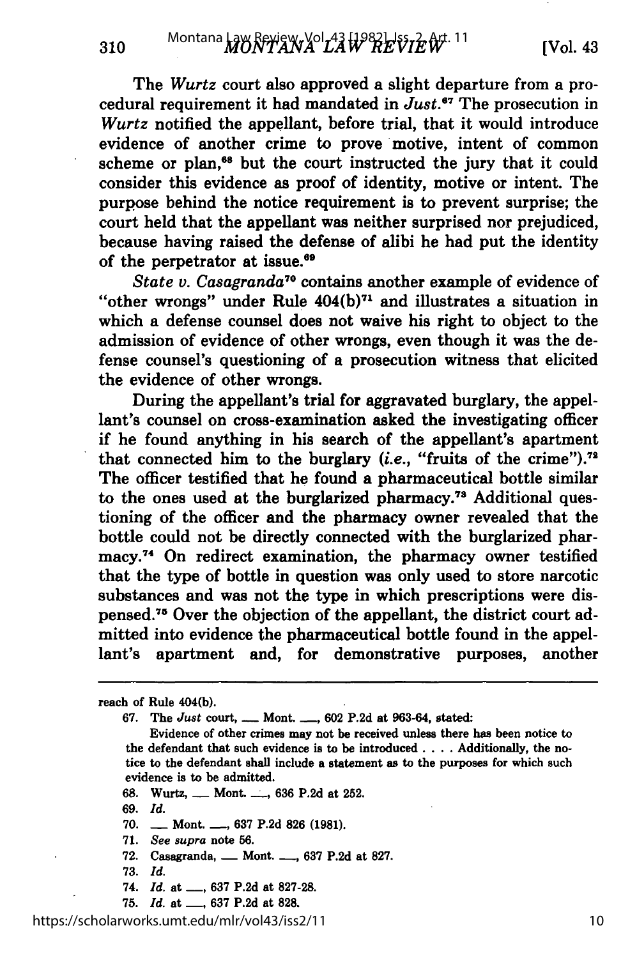The *Wurtz* court also approved a slight departure from a procedural requirement it had mandated in *Just.6 <sup>7</sup>*The prosecution in *Wurtz* notified the appellant, before trial, that it would introduce evidence of another crime to prove motive, intent of common scheme or plan,<sup>68</sup> but the court instructed the jury that it could consider this evidence as proof of identity, motive or intent. The purpose behind the notice requirement is to prevent surprise; the court held that the appellant was neither surprised nor prejudiced, because having raised the defense of alibi he had put the identity of the perpetrator at issue.<sup>69</sup>

*State v. Casagranda70* contains another example of evidence of "other wrongs" under Rule  $404(b)^{71}$  and illustrates a situation in which a defense counsel does not waive his right to object to the admission of evidence of other wrongs, even though it was the defense counsel's questioning of a prosecution witness that elicited the evidence of other wrongs.

During the appellant's trial for aggravated burglary, the appellant's counsel on cross-examination asked the investigating officer if he found anything in his search of the appellant's apartment that connected him to the burglary *(i.e., "fruits of the crime")*.<sup>72</sup> The officer testified that he found a pharmaceutical bottle similar to the ones used at the burglarized pharmacy.78 Additional questioning of the officer and the pharmacy owner revealed that the bottle could not be directly connected with the burglarized pharmacy.<sup>74</sup> On redirect examination, the pharmacy owner testified that the type of bottle in question was only used to store narcotic substances and was not the type in which prescriptions were dispensed.75 Over the objection of the appellant, the district court admitted into evidence the pharmaceutical bottle found in the appellant's apartment and, for demonstrative purposes, another

310

- **68.** Wurtz, **-** Mont. **, 636 P.2d** at **252.**
- **69.** *Id.*
- **70. -** Mont. **-, 637 P.2d 826 (1981).**
- **71.** *See supra* note **56.**
- **72.** Casagranda, **-** Mont. **-, 637 P.2d** at **827.**
- **73.** *Id.*
- 74. *Id.* at \_\_, 637 P.2d at 827-28.
- **75.** *Id.* at **-, 637 P.2d** at **828.**

https://scholarworks.umt.edu/mlr/vol43/iss2/11

reach of Rule 404(b).

<sup>67.</sup> The *Just* court, **-** Mont. **-,** 602 P.2d at 963-64, stated:

Evidence of other crimes may not be received unless there has been notice to the defendant that such evidence is to be introduced.. .. Additionally, the notice to the defendant shall include a statement as to the purposes for which such evidence is to be admitted.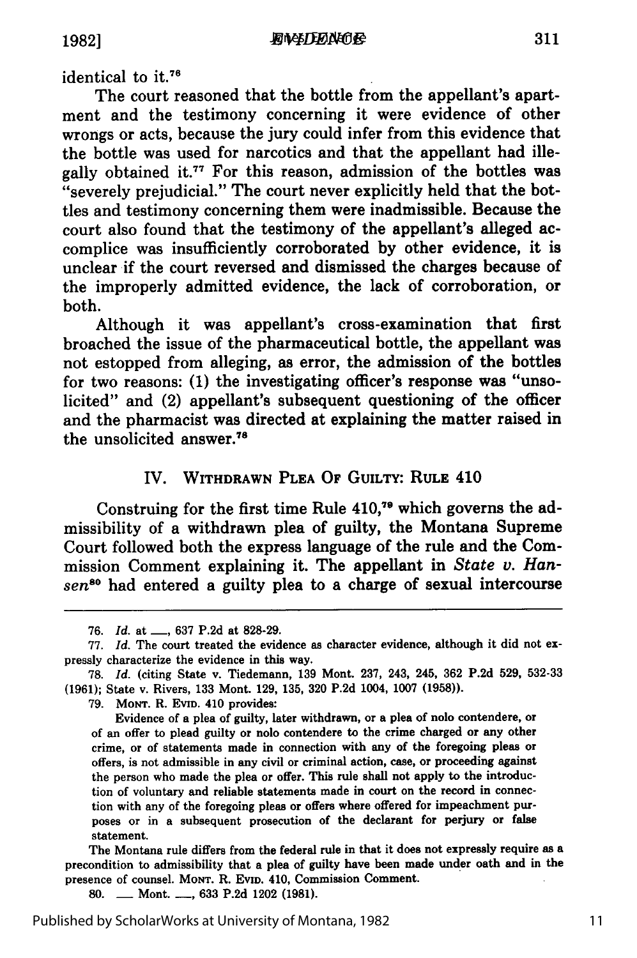identical to it.<sup>76</sup>

The court reasoned that the bottle from the appellant's apartment and the testimony concerning it were evidence of other wrongs or acts, because the jury could infer from this evidence that the bottle was used for narcotics and that the appellant had illegally obtained it.<sup>77</sup> For this reason, admission of the bottles was "severely prejudicial." The court never explicitly held that the bottles and testimony concerning them were inadmissible. Because the court also found that the testimony of the appellant's alleged accomplice was insufficiently corroborated by other evidence, it is unclear if the court reversed and dismissed the charges because of the improperly admitted evidence, the lack of corroboration, or both.

Although it was appellant's cross-examination that first broached the issue of the pharmaceutical bottle, the appellant was not estopped from alleging, as error, the admission of the bottles for two reasons: **(1)** the investigating officer's response was "unsolicited" and (2) appellant's subsequent questioning of the officer and the pharmacist was directed at explaining the matter raised in the unsolicited answer. $78$ 

## IV. **WITHDRAWN PLEA OF GUILTY: RULE** 410

Construing for the first time Rule 410,79 which governs the admissibility of a withdrawn plea of guilty, the Montana Supreme Court followed both the express language of the rule and the Commission Comment explaining it. The appellant in *State v. Han*sen<sup>80</sup> had entered a guilty plea to a charge of sexual intercourse

The Montana rule differs from the federal rule in that it does not expressly require as a precondition to admissibility that a plea of guilty have been made under oath and in the presence of counsel. **MONT.** R. **EVID.** 410, Commission Comment.

**80. -** Mont. **-, 633 P.2d** 1202 **(1981).**

**<sup>76.</sup>** *Id.* at **-, 637 P.2d** at **828-29.**

**<sup>77.</sup>** *Id.* The court treated the evidence as character evidence, although it did not expressly characterize the evidence in this way.

**<sup>78.</sup>** *Id.* (citing State v. Tiedemann, **139** Mont. 237, 243, 245, **362 P.2d** 529, 532-33 **(1961);** State v. Rivers, **133** Mont. **129,** 135, **320 P.2d** 1004, **1007 (1958)).**

**<sup>79.</sup>** Morr. R. **EvID.** 410 provides:

Evidence of a plea of guilty, later withdrawn, or a plea of **nolo** contendere, or of an offer to plead guilty or **nolo** contendere to the crime charged or any other crime, or of statements made in connection with any of the foregoing pleas or offers, is not admissible in any civil or criminal action, case, or proceeding against the person who made the plea or offer. This rule shall not apply to the introduction of voluntary and reliable statements made in court on the record in connection with any of the foregoing pleas or offers where offered for impeachment purposes or in a subsequent prosecution of the declarant for perjury or false statement.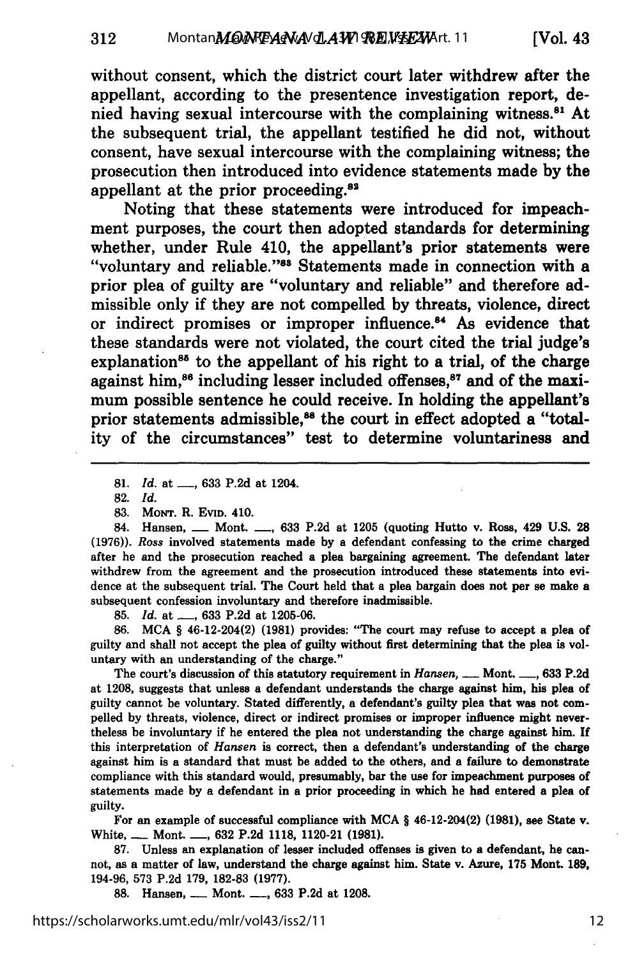without consent, which the district court later withdrew after the appellant, according to the presentence investigation report, denied having sexual intercourse with the complaining witness.<sup>81</sup> At the subsequent trial, the appellant testified he did not, without consent, have sexual intercourse with the complaining witness; the prosecution then introduced into evidence statements made **by** the appellant at the prior proceeding.<sup>82</sup>

Noting that these statements were introduced for impeachment purposes, the court then adopted standards for determining whether, under Rule 410, the appellant's prior statements were "voluntary and reliable."83 Statements made in connection with a prior plea of guilty are "voluntary and reliable" and therefore admissible only if they are not compelled **by** threats, violence, direct or indirect promises or improper influence.<sup>84</sup> As evidence that these standards were not violated, the court cited the trial judge's explanation<sup>85</sup> to the appellant of his right to a trial, of the charge against him,<sup>86</sup> including lesser included offenses,<sup>87</sup> and of the maximum possible sentence he could receive. In holding the appellant's prior statements admissible,<sup>88</sup> the court in effect adopted a "totality of the circumstances" test to determine voluntariness and

82. *Id.*

83. MoNT. R. EVID. 410.

84. Hansen, *\_\_ Mont. \_\_, 633 P.2d at 1205 (quoting Hutto v. Ross, 429 U.S. 28* **(1976)).** *Ross* involved statements made **by** a defendant confessing to the crime charged after he and the prosecution reached a plea bargaining agreement. The defendant later withdrew from the agreement and the prosecution introduced these statements into evidence at the subsequent trial. The Court held that a plea bargain does not per se make a subsequent confession involuntary and therefore inadmissible.

**85.** *Id.* at **-, 633 P.2d** at **1205-06.**

**86. MCA** § 46-12-204(2) **(1981)** provides: "The court may refuse to accept a plea of guilty and shall not accept the plea of guilty without first determining that the plea is voluntary with an understanding of the charge."

The court's discussion of this statutory requirement in *Hansen, \_\_* Mont. **-, 633 P.2d** at **1208,** suggests that unless a defendant understands the charge against him, his plea of guilty cannot be voluntary. Stated differently, a defendant's guilty plea that was not compelled **by** threats, violence, direct or indirect promises or improper influence might nevertheless be involuntary if he entered the plea not understanding the charge against him. **If** this interpretation of *Hansen* is correct, then a defendant's understanding of the charge against him is a standard that must be added to the others, and a failure to demonstrate compliance with this standard would, presumably, bar the use for impeachment purposes **of** statements made **by** a defendant in a prior proceeding in which he had entered a plea of guilty.

For an example of successful compliance with **MCA** § 46-12-204(2) **(1981),** see State v. White, **-** Mont. **-, 632 P.2d 1118,** 1120-21 **(1981).**

**87.** Unless an explanation of lesser included offenses is given to a defendant, he cannot, as a matter of law, understand the charge against him. State v. Azure, **175** Mont. **189,** 194-96, **573 P.2d 179, 182-83 (1977).**

**88.** Hansen, **-** Mont. **-, 633 P.2d** at **1208.**

**<sup>81.</sup>** *Id.* at **-, 633** P.2d at 1204.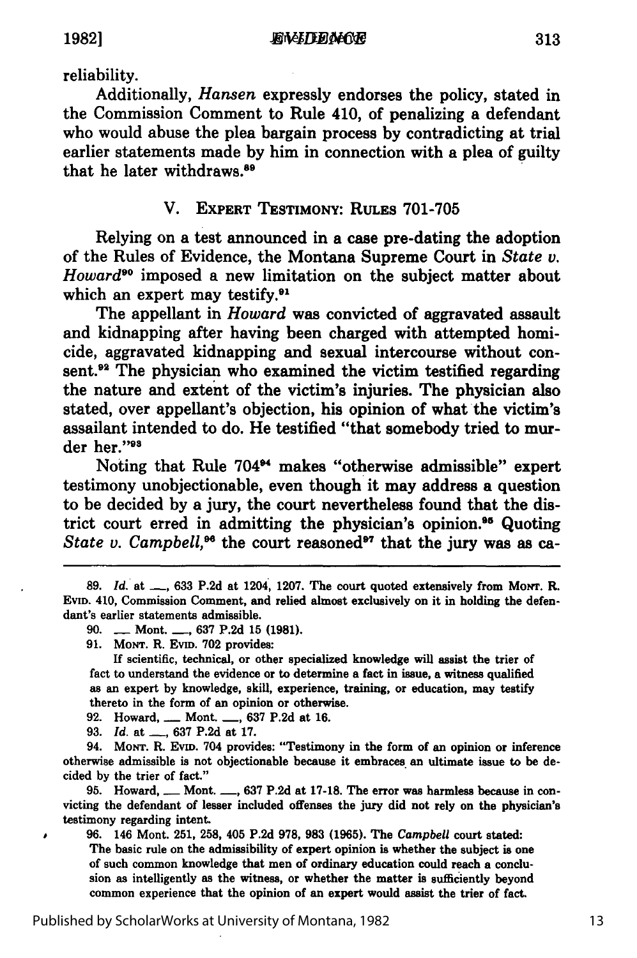reliability.

Additionally, *Hansen* expressly endorses the policy, stated in the Commission Comment to Rule 410, of penalizing a defendant who would abuse the plea bargain process **by** contradicting at trial earlier statements made **by** him in connection with a plea of guilty that he later withdraws. <sup>89</sup>

# V. **EXPERT TESTIMONY: RULES** 701-705

Relying on a test announced in a case pre-dating the adoption of the Rules of Evidence, the Montana Supreme Court in *State v. Howard"* imposed a new limitation on the subject matter about which an expert may testify.<sup>91</sup>

The appellant in *Howard* was convicted of aggravated assault and kidnapping after having been charged with attempted homicide, aggravated kidnapping and sexual intercourse without consent.<sup>92</sup> The physician who examined the victim testified regarding the nature and extent of the victim's injuries. The physician also stated, over appellant's objection, his opinion of what the victim's assailant intended to do. He testified "that somebody tried to murder her."93

Noting that Rule 704<sup>94</sup> makes "otherwise admissible" expert testimony unobjectionable, even though it may address a question to be decided **by** a jury, the court nevertheless found that the district court erred in admitting the physician's opinion.<sup>95</sup> Quoting *State v. Campbell*,<sup>96</sup> the court reasoned<sup>97</sup> that the jury was as ca-

**90. -** Mont. **\_ 637** P.2d **15 (1981).**

**91.** MoNT. R. Evm. **702** provides:

**If** scientific, technical, or other specialized knowledge will assist the trier of fact to understand the evidence or to determine a fact in issue, a witness qualified as an expert **by** knowledge, skill, experience, training, or education, may testify thereto in the form of an opinion or otherwise.

**92.** Howard, **-** Mont. **-, 637 P.2d** at **16.**

**93.** *Id.* at **-, 637 P.2d** at **17.**

94. MONT. R. EVID. 704 provides: "Testimony in the form of an opinion or inference otherwise admissible is not objectionable because it embraces. an ultimate issue to be decided **by** the trier of fact."

**95.** Howard, **-** Mont. **-, 637 P.2d** at **17-18.** The error was harmless because in convicting the defendant of lesser included offenses the jury did not rely on the physician's testimony regarding intent.

**96.** 146 Mont. **251, 258,** 405 **P.2d 978, 983 (1965).** The *Campbell* court stated: The basic rule on the admissibility of expert opinion is whether the subject is one of such common knowledge that men of ordinary education could reach a conclusion as intelligently as the witness, or whether the matter is sufficiently beyond common experience that the opinion of an expert would assist the trier of fact.

313

**<sup>89.</sup>** *Id.* at **-, 633** P.2d at 1204, 1207. The court quoted extensively from MoNT. R. Evm. 410, Commission Comment, and relied almost exclusively on it in holding the defendant's earlier statements admissible.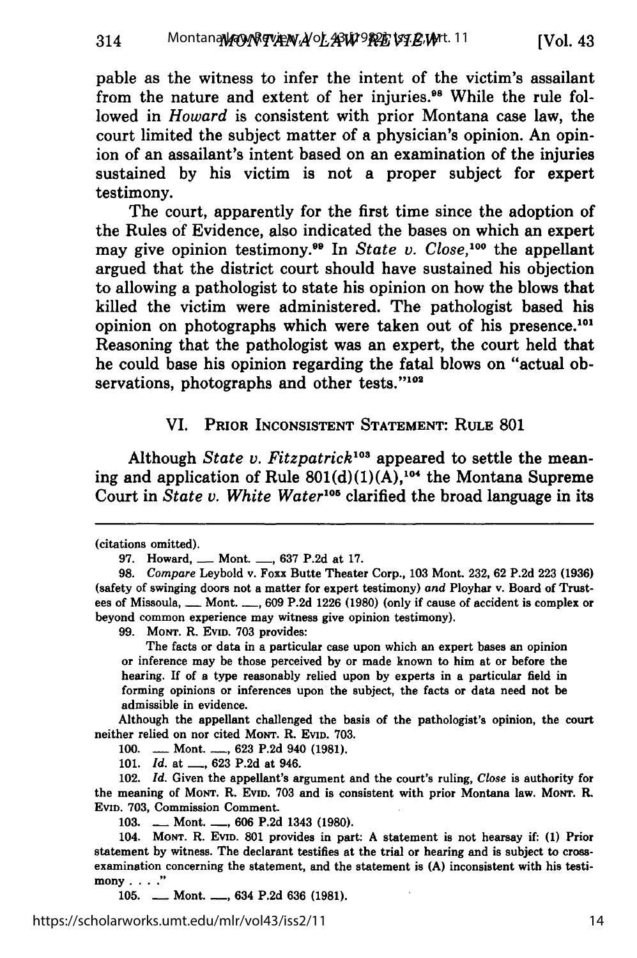pable as the witness to infer the intent of the victim's assailant from the nature and extent of her injuries.<sup>98</sup> While the rule followed in *Howard* is consistent with prior Montana case law, the court limited the subject matter of a physician's opinion. An opinion of an assailant's intent based on an examination of the injuries sustained **by** his victim is not a proper subject for expert testimony.

The court, apparently for the first time since the adoption of the Rules of Evidence, also indicated the bases on which an expert may give opinion testimony.<sup>99</sup> In *State v. Close*,<sup>100</sup> the appellant argued that the district court should have sustained his objection to allowing a pathologist to state his opinion on how the blows that killed the victim were administered. The pathologist based his opinion on photographs which were taken out of his presence.<sup>10</sup> Reasoning that the pathologist was an expert, the court held that he could base his opinion regarding the fatal blows on "actual observations, photographs and other tests."102

#### VI. PRIOR **INCONSISTENT STATEMENT:** RULE **801**

Although *State v. Fitzpatrick'03* appeared to settle the meaning and application of Rule  $801(d)(1)(A)$ ,<sup>104</sup> the Montana Supreme Court in *State v. White Water*<sup>105</sup> clarified the broad language in its

**99. MoNT.** R. **EvID. 703** provides:

The facts or data in a particular case upon which an expert bases an opinion or inference may be those perceived **by** or made known to him at or before the hearing. If of a type reasonably relied upon **by** experts in a particular field in forming opinions or inferences upon the subject, the facts or data need not be admissible in evidence.

Although the appellant challenged the basis of the pathologist's opinion, the court neither relied on nor cited MoNT. R. EVID. 703.

100. **--- Mont. --, 623 P.2d 940 (1981).** 

**101.** *Id.* at **-, 623 P.2d** at 946.

102. *Id.* Given the appellant's argument and the court's ruling, *Close* is authority for the meaning of MoNT. R. EvID. **703** and is consistent with prior Montana law. MoNT. R. **EvID. 703,** Commission Comment.

**103. -** Mont. **-, 606 P.2d** 1343 **(1980).**

104. **MONT.** R. **EVD. 801** provides in part: **A** statement is not hearsay **if: (1)** Prior statement **by** witness. The declarant testifies at the trial or hearing and is subject to crossexamination concerning the statement, and the statement is **(A)** inconsistent with his testimony. **.. "**

105. **-** Mont. -, 634 P.2d 636 (1981).

https://scholarworks.umt.edu/mlr/vol43/iss2/11

<sup>(</sup>citations omitted).

**<sup>97.</sup>** Howard, \_\_ Mont. **\_\_, 637 P.2d** at **17.**

**<sup>98.</sup>** *Compare* Leybold v. Foxx Butte Theater Corp., **103** Mont. **232, 62 P.2d 223 (1936)** (safety of swinging doors not a matter for expert testimony) *and* Ployhar v. Board of Trustees of Missoula, **-** Mont. **-, 609 P.2d 1226 (1980)** (only if cause of accident is complex or beyond common experience may witness give opinion testimony).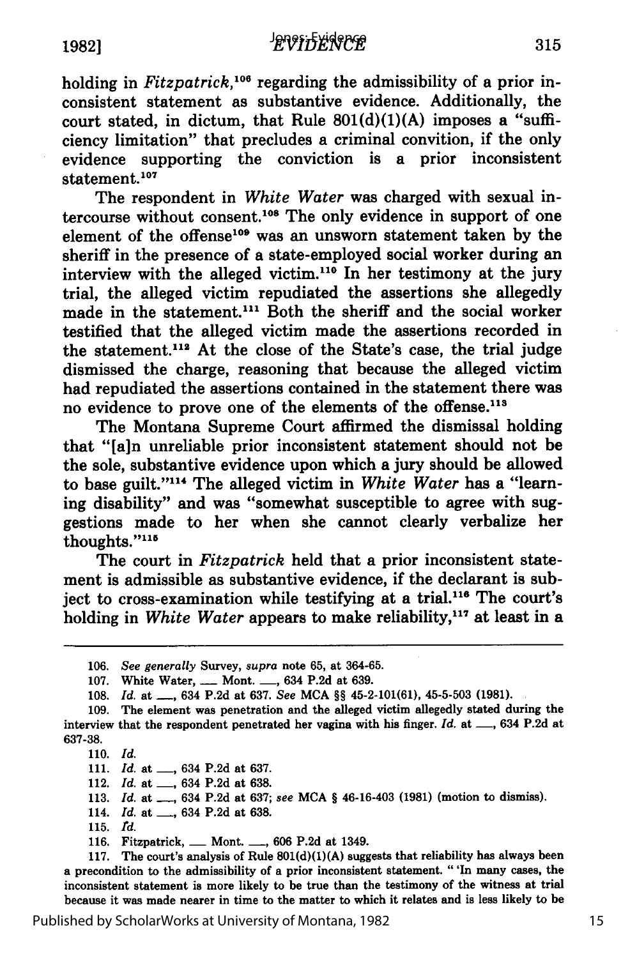holding in *Fitzpatrick*,<sup>106</sup> regarding the admissibility of a prior inconsistent statement as substantive evidence. Additionally, the court stated, in dictum, that Rule  $801(d)(1)(A)$  imposes a "sufficiency limitation" that precludes a criminal convition, if the only evidence supporting the conviction is a prior inconsistent statement.<sup>107</sup>

The respondent in *White Water* was charged with sexual intercourse without consent.108 The only evidence in support of one element of the offense<sup>109</sup> was an unsworn statement taken by the sheriff in the presence of a state-employed social worker during an interview with the alleged victim.110 In her testimony at the jury trial, the alleged victim repudiated the assertions she allegedly made in the statement.<sup>111</sup> Both the sheriff and the social worker testified that the alleged victim made the assertions recorded in the statement.<sup>112</sup> At the close of the State's case, the trial judge dismissed the charge, reasoning that because the alleged victim had repudiated the assertions contained in the statement there was no evidence to prove one of the elements of the offense.<sup>113</sup>

The Montana Supreme Court affirmed the dismissal holding that **"[a]n** unreliable prior inconsistent statement should not be the sole, substantive evidence upon which a jury should be allowed to base guilt."<sup>114</sup> The alleged victim in White Water has a "learning disability" and was "somewhat susceptible to agree with suggestions made to her when she cannot clearly verbalize her thoughts."115

The court in *Fitzpatrick* held that a prior inconsistent statement is admissible as substantive evidence, if the declarant is subject to cross-examination while testifying at a trial.<sup>116</sup> The court's holding in *White Water* appears to make reliability,<sup>117</sup> at least in a

**110.** *Id.*

111. *Id.* at \_\_, 634 P.2d at 637.

112. *Id.* at \_\_, 634 P.2d at 638.

**113.** *Id.* at **-,** 634 **P.2d** at **637;** *see* **MCA** § 46-16-403 **(1981)** (motion to dismiss).

114. *Id.* at \_\_, 634 P.2d at 638.

**115.** *'d.*

116. Fitzpatrick, <u>**\_\_ Mont. \_\_, 606** P.2d at 1349.</u>

117. The court's analysis of Rule **801(d)(1)(A)** suggests that reliability has always been a precondition to the admissibility of a prior inconsistent statement. "'In many cases, the inconsistent statement is more likely to be true than the testimony of the witness at trial because it was made nearer in time to the matter to which it relates and is less likely to be

Published by ScholarWorks at University of Montana, 1982

**<sup>106.</sup>** *See generally* Survey, *supra* note **65,** at **364-65.**

**<sup>107.</sup>** White Water, **-** Mont. **-,** 634 **P.2d** at **639.**

**<sup>108.</sup>** *Id.* at **-,** 634 **P.2d** at **637.** *See* **MCA** §§ 45-2-101(61), **45-5-503 (1981).**

**<sup>109.</sup>** The element was penetration and the alleged victim allegedly stated during the interview that the respondent penetrated her vagina with his finger. Id. at <sub>-,</sub> 634 P.2d at **637-38.**